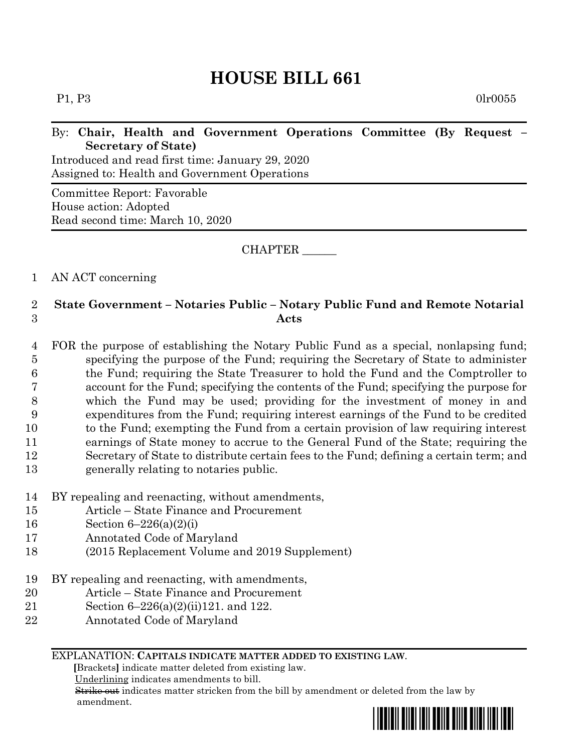# **HOUSE BILL 661**

 $P1, P3$  0lr0055

## By: **Chair, Health and Government Operations Committee (By Request – Secretary of State)**

Introduced and read first time: January 29, 2020 Assigned to: Health and Government Operations

Committee Report: Favorable House action: Adopted Read second time: March 10, 2020

CHAPTER \_\_\_\_\_\_

# 1 AN ACT concerning

# 2 **State Government – Notaries Public – Notary Public Fund and Remote Notarial**  3 **Acts**

 FOR the purpose of establishing the Notary Public Fund as a special, nonlapsing fund; specifying the purpose of the Fund; requiring the Secretary of State to administer the Fund; requiring the State Treasurer to hold the Fund and the Comptroller to account for the Fund; specifying the contents of the Fund; specifying the purpose for which the Fund may be used; providing for the investment of money in and expenditures from the Fund; requiring interest earnings of the Fund to be credited to the Fund; exempting the Fund from a certain provision of law requiring interest earnings of State money to accrue to the General Fund of the State; requiring the Secretary of State to distribute certain fees to the Fund; defining a certain term; and generally relating to notaries public.

- 14 BY repealing and reenacting, without amendments,
- 15 Article State Finance and Procurement
- 16 Section 6–226(a)(2)(i)
- 17 Annotated Code of Maryland
- 18 (2015 Replacement Volume and 2019 Supplement)
- 19 BY repealing and reenacting, with amendments,
- 20 Article State Finance and Procurement
- 21 Section 6–226(a)(2)(ii)121. and 122.
- 22 Annotated Code of Maryland

#### EXPLANATION: **CAPITALS INDICATE MATTER ADDED TO EXISTING LAW**.

 **[**Brackets**]** indicate matter deleted from existing law.

Underlining indicates amendments to bill.

 Strike out indicates matter stricken from the bill by amendment or deleted from the law by amendment.

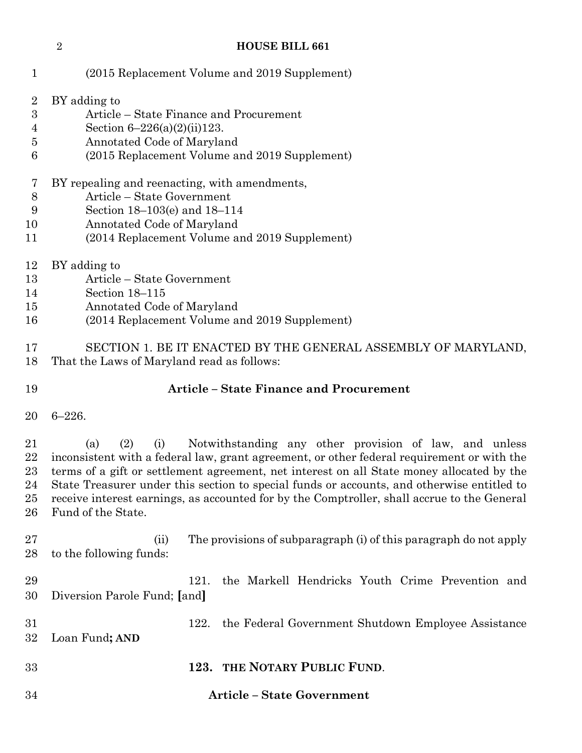#### **HOUSE BILL 661**

| 1                                  | (2015 Replacement Volume and 2019 Supplement)                                                                                                                                                                                                                                                                                                                                                                                                                                             |
|------------------------------------|-------------------------------------------------------------------------------------------------------------------------------------------------------------------------------------------------------------------------------------------------------------------------------------------------------------------------------------------------------------------------------------------------------------------------------------------------------------------------------------------|
| $\overline{2}$<br>3<br>4<br>5<br>6 | BY adding to<br>Article – State Finance and Procurement<br>Section $6-226(a)(2)(ii)123$ .<br>Annotated Code of Maryland<br>(2015 Replacement Volume and 2019 Supplement)                                                                                                                                                                                                                                                                                                                  |
| 7<br>$8\,$<br>9<br>10<br>11        | BY repealing and reenacting, with amendments,<br>Article - State Government<br>Section 18–103(e) and 18–114<br>Annotated Code of Maryland<br>(2014 Replacement Volume and 2019 Supplement)                                                                                                                                                                                                                                                                                                |
| 12<br>13<br>14<br>15<br>16         | BY adding to<br>Article – State Government<br>Section 18-115<br>Annotated Code of Maryland<br>(2014 Replacement Volume and 2019 Supplement)                                                                                                                                                                                                                                                                                                                                               |
| 17<br>18                           | SECTION 1. BE IT ENACTED BY THE GENERAL ASSEMBLY OF MARYLAND,<br>That the Laws of Maryland read as follows:                                                                                                                                                                                                                                                                                                                                                                               |
| 19                                 | <b>Article - State Finance and Procurement</b>                                                                                                                                                                                                                                                                                                                                                                                                                                            |
| 20                                 | $6 - 226.$                                                                                                                                                                                                                                                                                                                                                                                                                                                                                |
| 21<br>22<br>23<br>24<br>25<br>26   | (2)<br>Notwithstanding any other provision of law, and unless<br>(i)<br>(a)<br>inconsistent with a federal law, grant agreement, or other federal requirement or with the<br>terms of a gift or settlement agreement, net interest on all State money allocated by the<br>State Treasurer under this section to special funds or accounts, and otherwise entitled to<br>receive interest earnings, as accounted for by the Comptroller, shall accrue to the General<br>Fund of the State. |
| 27<br>28                           | The provisions of subparagraph (i) of this paragraph do not apply<br>(ii)<br>to the following funds:                                                                                                                                                                                                                                                                                                                                                                                      |
| 29<br>30                           | the Markell Hendricks Youth Crime Prevention and<br>121.<br>Diversion Parole Fund; [and]                                                                                                                                                                                                                                                                                                                                                                                                  |
| 31<br>32                           | the Federal Government Shutdown Employee Assistance<br>122.<br>Loan Fund; AND                                                                                                                                                                                                                                                                                                                                                                                                             |
| 33                                 | THE NOTARY PUBLIC FUND.<br>123.                                                                                                                                                                                                                                                                                                                                                                                                                                                           |
| 34                                 | <b>Article - State Government</b>                                                                                                                                                                                                                                                                                                                                                                                                                                                         |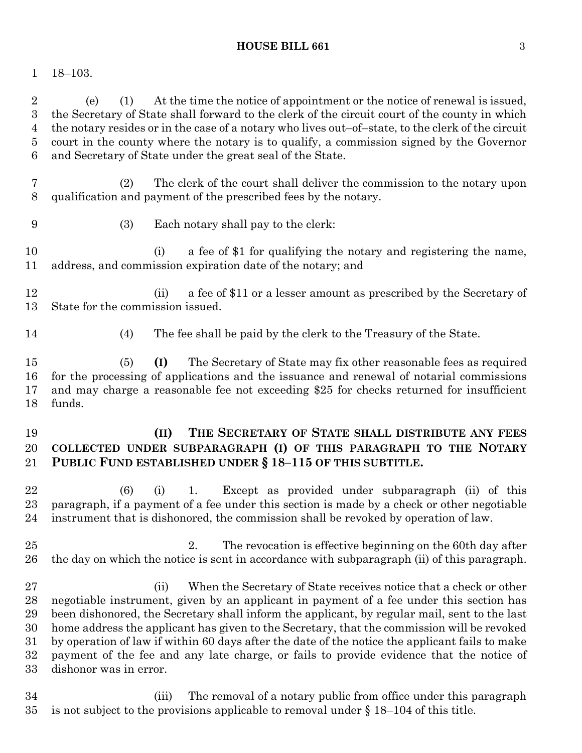#### **HOUSE BILL 661** 3

# 18–103.

 (e) (1) At the time the notice of appointment or the notice of renewal is issued, the Secretary of State shall forward to the clerk of the circuit court of the county in which the notary resides or in the case of a notary who lives out–of–state, to the clerk of the circuit court in the county where the notary is to qualify, a commission signed by the Governor and Secretary of State under the great seal of the State.

- (2) The clerk of the court shall deliver the commission to the notary upon qualification and payment of the prescribed fees by the notary.
- 

(3) Each notary shall pay to the clerk:

 (i) a fee of \$1 for qualifying the notary and registering the name, address, and commission expiration date of the notary; and

- (ii) a fee of \$11 or a lesser amount as prescribed by the Secretary of State for the commission issued.
- 
- (4) The fee shall be paid by the clerk to the Treasury of the State.

 (5) **(I)** The Secretary of State may fix other reasonable fees as required for the processing of applications and the issuance and renewal of notarial commissions and may charge a reasonable fee not exceeding \$25 for checks returned for insufficient funds.

# **(II) THE SECRETARY OF STATE SHALL DISTRIBUTE ANY FEES COLLECTED UNDER SUBPARAGRAPH (I) OF THIS PARAGRAPH TO THE NOTARY PUBLIC FUND ESTABLISHED UNDER § 18–115 OF THIS SUBTITLE.**

 (6) (i) 1. Except as provided under subparagraph (ii) of this paragraph, if a payment of a fee under this section is made by a check or other negotiable instrument that is dishonored, the commission shall be revoked by operation of law.

 2. The revocation is effective beginning on the 60th day after the day on which the notice is sent in accordance with subparagraph (ii) of this paragraph.

 (ii) When the Secretary of State receives notice that a check or other negotiable instrument, given by an applicant in payment of a fee under this section has been dishonored, the Secretary shall inform the applicant, by regular mail, sent to the last home address the applicant has given to the Secretary, that the commission will be revoked by operation of law if within 60 days after the date of the notice the applicant fails to make payment of the fee and any late charge, or fails to provide evidence that the notice of dishonor was in error.

 (iii) The removal of a notary public from office under this paragraph 35 is not subject to the provisions applicable to removal under  $\S 18-104$  of this title.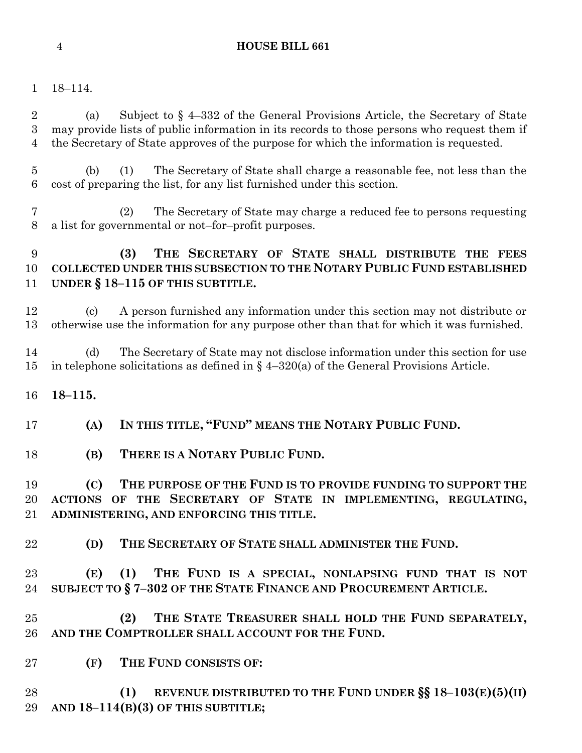### **HOUSE BILL 661**

### 18–114.

 (a) Subject to § 4–332 of the General Provisions Article, the Secretary of State may provide lists of public information in its records to those persons who request them if the Secretary of State approves of the purpose for which the information is requested.

 (b) (1) The Secretary of State shall charge a reasonable fee, not less than the cost of preparing the list, for any list furnished under this section.

 (2) The Secretary of State may charge a reduced fee to persons requesting a list for governmental or not–for–profit purposes.

# **(3) THE SECRETARY OF STATE SHALL DISTRIBUTE THE FEES COLLECTED UNDER THIS SUBSECTION TO THE NOTARY PUBLIC FUND ESTABLISHED UNDER § 18–115 OF THIS SUBTITLE.**

 (c) A person furnished any information under this section may not distribute or otherwise use the information for any purpose other than that for which it was furnished.

 (d) The Secretary of State may not disclose information under this section for use in telephone solicitations as defined in § 4–320(a) of the General Provisions Article.

**18–115.**

**(A) IN THIS TITLE, "FUND" MEANS THE NOTARY PUBLIC FUND.**

**(B) THERE IS A NOTARY PUBLIC FUND.**

 **(C) THE PURPOSE OF THE FUND IS TO PROVIDE FUNDING TO SUPPORT THE ACTIONS OF THE SECRETARY OF STATE IN IMPLEMENTING, REGULATING, ADMINISTERING, AND ENFORCING THIS TITLE.**

**(D) THE SECRETARY OF STATE SHALL ADMINISTER THE FUND.**

 **(E) (1) THE FUND IS A SPECIAL, NONLAPSING FUND THAT IS NOT SUBJECT TO § 7–302 OF THE STATE FINANCE AND PROCUREMENT ARTICLE.**

 **(2) THE STATE TREASURER SHALL HOLD THE FUND SEPARATELY, AND THE COMPTROLLER SHALL ACCOUNT FOR THE FUND.**

**(F) THE FUND CONSISTS OF:**

 **(1) REVENUE DISTRIBUTED TO THE FUND UNDER §§ 18–103(E)(5)(II) AND 18–114(B)(3) OF THIS SUBTITLE;**